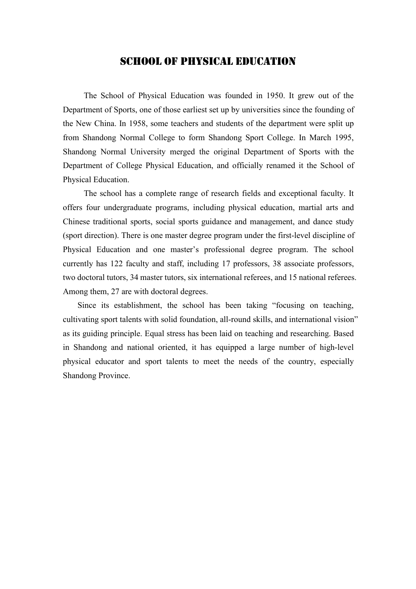## School of PhySical Education

The School of Physical Education was founded in 1950. It grew out of the Department of Sports, one of those earliest set up by universities since the founding of the New China. In 1958, some teachers and students of the department were split up from Shandong Normal College to form Shandong Sport College. In March 1995, Shandong Normal University merged the original Department of Sports with the Department of College Physical Education, and officially renamed it the School of Physical Education.

The school has a complete range of research fields and exceptional faculty. It offers four undergraduate programs, including physical education, martial arts and Chinese traditional sports, social sports guidance and management, and dance study (sport direction). There is one master degree program under the first-level discipline of Physical Education and one master's professional degree program. The school currently has 122 faculty and staff, including 17 professors, 38 associate professors, two doctoral tutors, 34 master tutors, six international referees, and 15 national referees. Among them, 27 are with doctoral degrees.

Since its establishment, the school has been taking "focusing on teaching, cultivating sport talents with solid foundation, all-round skills, and international vision" as its guiding principle. Equal stress has been laid on teaching and researching. Based in Shandong and national oriented, it has equipped a large number of high-level physical educator and sport talents to meet the needs of the country, especially Shandong Province.